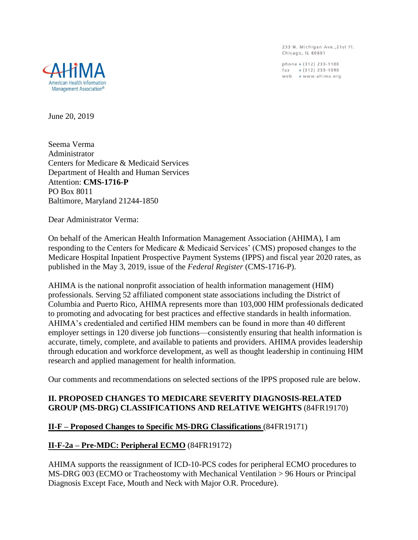233 N. Michigan Ave., 21st Fl. Chicago, IL 60601

phone » (312) 233-1100 fax » (312) 233-1090<br>web » www.ahima.org



June 20, 2019

Seema Verma Administrator Centers for Medicare & Medicaid Services Department of Health and Human Services Attention: **CMS-1716-P** PO Box 8011 Baltimore, Maryland 21244-1850

Dear Administrator Verma:

On behalf of the American Health Information Management Association (AHIMA), I am responding to the Centers for Medicare & Medicaid Services' (CMS) proposed changes to the Medicare Hospital Inpatient Prospective Payment Systems (IPPS) and fiscal year 2020 rates, as published in the May 3, 2019, issue of the *Federal Register* (CMS-1716-P).

AHIMA is the national nonprofit association of health information management (HIM) professionals. Serving 52 affiliated component state associations including the District of Columbia and Puerto Rico, AHIMA represents more than 103,000 HIM professionals dedicated to promoting and advocating for best practices and effective standards in health information. AHIMA's credentialed and certified HIM members can be found in more than 40 different employer settings in 120 diverse job functions—consistently ensuring that health information is accurate, timely, complete, and available to patients and providers. AHIMA provides leadership through education and workforce development, as well as thought leadership in continuing HIM research and applied management for health information.

Our comments and recommendations on selected sections of the IPPS proposed rule are below.

# **II. PROPOSED CHANGES TO MEDICARE SEVERITY DIAGNOSIS-RELATED GROUP (MS-DRG) CLASSIFICATIONS AND RELATIVE WEIGHTS** (84FR19170)

# **II-F – Proposed Changes to Specific MS-DRG Classifications** (84FR19171)

# **II-F-2a – Pre-MDC: Peripheral ECMO** (84FR19172)

AHIMA supports the reassignment of ICD-10-PCS codes for peripheral ECMO procedures to MS-DRG 003 (ECMO or Tracheostomy with Mechanical Ventilation > 96 Hours or Principal Diagnosis Except Face, Mouth and Neck with Major O.R. Procedure).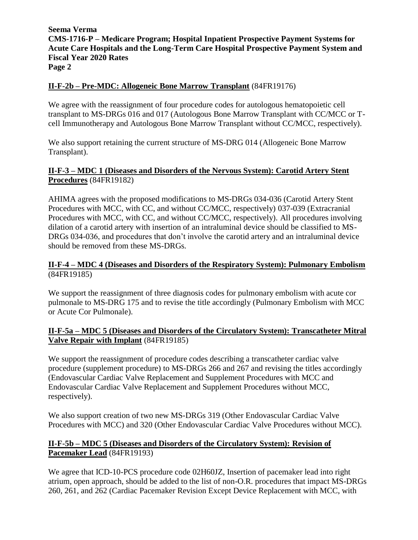# **II-F-2b – Pre-MDC: Allogeneic Bone Marrow Transplant** (84FR19176)

We agree with the reassignment of four procedure codes for autologous hematopoietic cell transplant to MS-DRGs 016 and 017 (Autologous Bone Marrow Transplant with CC/MCC or Tcell Immunotherapy and Autologous Bone Marrow Transplant without CC/MCC, respectively).

We also support retaining the current structure of MS-DRG 014 (Allogeneic Bone Marrow Transplant).

# **II-F-3 – MDC 1 (Diseases and Disorders of the Nervous System): Carotid Artery Stent Procedures** (84FR19182)

AHIMA agrees with the proposed modifications to MS-DRGs 034-036 (Carotid Artery Stent Procedures with MCC, with CC, and without CC/MCC, respectively) 037-039 (Extracranial Procedures with MCC, with CC, and without CC/MCC, respectively). All procedures involving dilation of a carotid artery with insertion of an intraluminal device should be classified to MS-DRGs 034-036, and procedures that don't involve the carotid artery and an intraluminal device should be removed from these MS-DRGs.

### **II-F-4 – MDC 4 (Diseases and Disorders of the Respiratory System): Pulmonary Embolism** (84FR19185)

We support the reassignment of three diagnosis codes for pulmonary embolism with acute cor pulmonale to MS-DRG 175 and to revise the title accordingly (Pulmonary Embolism with MCC or Acute Cor Pulmonale).

# **II-F-5a – MDC 5 (Diseases and Disorders of the Circulatory System): Transcatheter Mitral Valve Repair with Implant** (84FR19185)

We support the reassignment of procedure codes describing a transcatheter cardiac valve procedure (supplement procedure) to MS-DRGs 266 and 267 and revising the titles accordingly (Endovascular Cardiac Valve Replacement and Supplement Procedures with MCC and Endovascular Cardiac Valve Replacement and Supplement Procedures without MCC, respectively).

We also support creation of two new MS-DRGs 319 (Other Endovascular Cardiac Valve Procedures with MCC) and 320 (Other Endovascular Cardiac Valve Procedures without MCC).

# **II-F-5b – MDC 5 (Diseases and Disorders of the Circulatory System): Revision of Pacemaker Lead** (84FR19193)

We agree that ICD-10-PCS procedure code 02H60JZ, Insertion of pacemaker lead into right atrium, open approach, should be added to the list of non-O.R. procedures that impact MS-DRGs 260, 261, and 262 (Cardiac Pacemaker Revision Except Device Replacement with MCC, with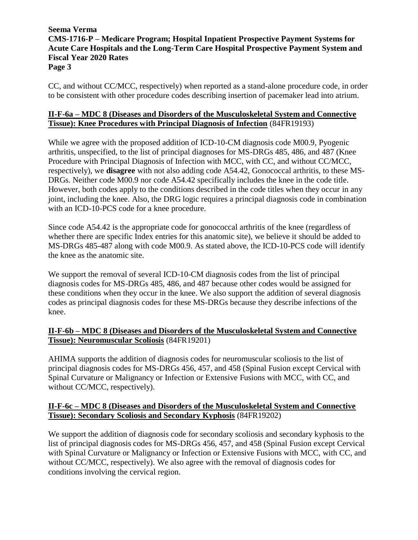CC, and without CC/MCC, respectively) when reported as a stand-alone procedure code, in order to be consistent with other procedure codes describing insertion of pacemaker lead into atrium.

# **II-F-6a – MDC 8 (Diseases and Disorders of the Musculoskeletal System and Connective Tissue): Knee Procedures with Principal Diagnosis of Infection** (84FR19193)

While we agree with the proposed addition of ICD-10-CM diagnosis code M00.9, Pyogenic arthritis, unspecified, to the list of principal diagnoses for MS-DRGs 485, 486, and 487 (Knee Procedure with Principal Diagnosis of Infection with MCC, with CC, and without CC/MCC, respectively), we **disagree** with not also adding code A54.42, Gonococcal arthritis, to these MS-DRGs. Neither code M00.9 nor code A54.42 specifically includes the knee in the code title. However, both codes apply to the conditions described in the code titles when they occur in any joint, including the knee. Also, the DRG logic requires a principal diagnosis code in combination with an ICD-10-PCS code for a knee procedure.

Since code A54.42 is the appropriate code for gonococcal arthritis of the knee (regardless of whether there are specific Index entries for this anatomic site), we believe it should be added to MS-DRGs 485-487 along with code M00.9. As stated above, the ICD-10-PCS code will identify the knee as the anatomic site.

We support the removal of several ICD-10-CM diagnosis codes from the list of principal diagnosis codes for MS-DRGs 485, 486, and 487 because other codes would be assigned for these conditions when they occur in the knee. We also support the addition of several diagnosis codes as principal diagnosis codes for these MS-DRGs because they describe infections of the knee.

# **II-F-6b – MDC 8 (Diseases and Disorders of the Musculoskeletal System and Connective Tissue): Neuromuscular Scoliosis** (84FR19201)

AHIMA supports the addition of diagnosis codes for neuromuscular scoliosis to the list of principal diagnosis codes for MS-DRGs 456, 457, and 458 (Spinal Fusion except Cervical with Spinal Curvature or Malignancy or Infection or Extensive Fusions with MCC, with CC, and without CC/MCC, respectively).

# **II-F-6c – MDC 8 (Diseases and Disorders of the Musculoskeletal System and Connective Tissue): Secondary Scoliosis and Secondary Kyphosis** (84FR19202)

We support the addition of diagnosis code for secondary scoliosis and secondary kyphosis to the list of principal diagnosis codes for MS-DRGs 456, 457, and 458 (Spinal Fusion except Cervical with Spinal Curvature or Malignancy or Infection or Extensive Fusions with MCC, with CC, and without CC/MCC, respectively). We also agree with the removal of diagnosis codes for conditions involving the cervical region.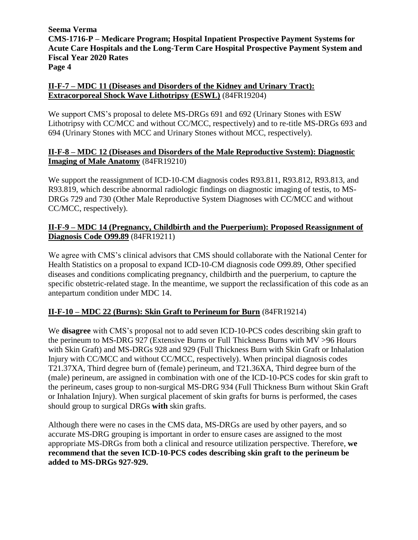# **II-F-7 – MDC 11 (Diseases and Disorders of the Kidney and Urinary Tract): Extracorporeal Shock Wave Lithotripsy (ESWL)** (84FR19204)

We support CMS's proposal to delete MS-DRGs 691 and 692 (Urinary Stones with ESW Lithotripsy with CC/MCC and without CC/MCC, respectively) and to re-title MS-DRGs 693 and 694 (Urinary Stones with MCC and Urinary Stones without MCC, respectively).

# **II-F-8 – MDC 12 (Diseases and Disorders of the Male Reproductive System): Diagnostic Imaging of Male Anatomy** (84FR19210)

We support the reassignment of ICD-10-CM diagnosis codes R93.811, R93.812, R93.813, and R93.819, which describe abnormal radiologic findings on diagnostic imaging of testis, to MS-DRGs 729 and 730 (Other Male Reproductive System Diagnoses with CC/MCC and without CC/MCC, respectively).

# **II-F-9 – MDC 14 (Pregnancy, Childbirth and the Puerperium): Proposed Reassignment of Diagnosis Code O99.89** (84FR19211)

We agree with CMS's clinical advisors that CMS should collaborate with the National Center for Health Statistics on a proposal to expand ICD-10-CM diagnosis code O99.89, Other specified diseases and conditions complicating pregnancy, childbirth and the puerperium, to capture the specific obstetric-related stage. In the meantime, we support the reclassification of this code as an antepartum condition under MDC 14.

# **II-F-10 – MDC 22 (Burns): Skin Graft to Perineum for Burn** (84FR19214)

We **disagree** with CMS's proposal not to add seven ICD-10-PCS codes describing skin graft to the perineum to MS-DRG 927 (Extensive Burns or Full Thickness Burns with MV >96 Hours with Skin Graft) and MS-DRGs 928 and 929 (Full Thickness Burn with Skin Graft or Inhalation Injury with CC/MCC and without CC/MCC, respectively). When principal diagnosis codes T21.37XA, Third degree burn of (female) perineum, and T21.36XA, Third degree burn of the (male) perineum, are assigned in combination with one of the ICD-10-PCS codes for skin graft to the perineum, cases group to non-surgical MS-DRG 934 (Full Thickness Burn without Skin Graft or Inhalation Injury). When surgical placement of skin grafts for burns is performed, the cases should group to surgical DRGs **with** skin grafts.

Although there were no cases in the CMS data, MS-DRGs are used by other payers, and so accurate MS-DRG grouping is important in order to ensure cases are assigned to the most appropriate MS-DRGs from both a clinical and resource utilization perspective. Therefore, **we recommend that the seven ICD-10-PCS codes describing skin graft to the perineum be added to MS-DRGs 927-929.**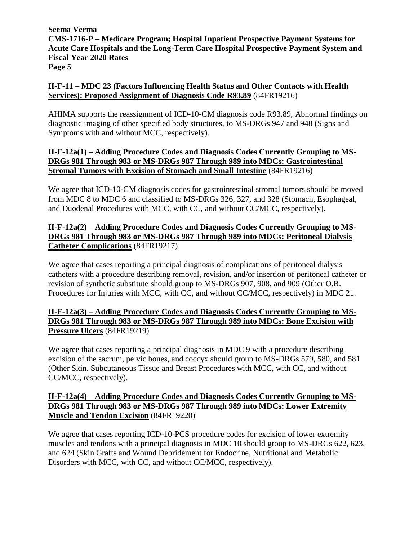# **II-F-11 – MDC 23 (Factors Influencing Health Status and Other Contacts with Health Services): Proposed Assignment of Diagnosis Code R93.89** (84FR19216)

AHIMA supports the reassignment of ICD-10-CM diagnosis code R93.89, Abnormal findings on diagnostic imaging of other specified body structures, to MS-DRGs 947 and 948 (Signs and Symptoms with and without MCC, respectively).

# **II-F-12a(1) – Adding Procedure Codes and Diagnosis Codes Currently Grouping to MS-DRGs 981 Through 983 or MS-DRGs 987 Through 989 into MDCs: Gastrointestinal Stromal Tumors with Excision of Stomach and Small Intestine** (84FR19216)

We agree that ICD-10-CM diagnosis codes for gastrointestinal stromal tumors should be moved from MDC 8 to MDC 6 and classified to MS-DRGs 326, 327, and 328 (Stomach, Esophageal, and Duodenal Procedures with MCC, with CC, and without CC/MCC, respectively).

# **II-F-12a(2) – Adding Procedure Codes and Diagnosis Codes Currently Grouping to MS-DRGs 981 Through 983 or MS-DRGs 987 Through 989 into MDCs: Peritoneal Dialysis Catheter Complications** (84FR19217)

We agree that cases reporting a principal diagnosis of complications of peritoneal dialysis catheters with a procedure describing removal, revision, and/or insertion of peritoneal catheter or revision of synthetic substitute should group to MS-DRGs 907, 908, and 909 (Other O.R. Procedures for Injuries with MCC, with CC, and without CC/MCC, respectively) in MDC 21.

# **II-F-12a(3) – Adding Procedure Codes and Diagnosis Codes Currently Grouping to MS-DRGs 981 Through 983 or MS-DRGs 987 Through 989 into MDCs: Bone Excision with Pressure Ulcers** (84FR19219)

We agree that cases reporting a principal diagnosis in MDC 9 with a procedure describing excision of the sacrum, pelvic bones, and coccyx should group to MS-DRGs 579, 580, and 581 (Other Skin, Subcutaneous Tissue and Breast Procedures with MCC, with CC, and without CC/MCC, respectively).

# **II-F-12a(4) – Adding Procedure Codes and Diagnosis Codes Currently Grouping to MS-DRGs 981 Through 983 or MS-DRGs 987 Through 989 into MDCs: Lower Extremity Muscle and Tendon Excision** (84FR19220)

We agree that cases reporting ICD-10-PCS procedure codes for excision of lower extremity muscles and tendons with a principal diagnosis in MDC 10 should group to MS-DRGs 622, 623, and 624 (Skin Grafts and Wound Debridement for Endocrine, Nutritional and Metabolic Disorders with MCC, with CC, and without CC/MCC, respectively).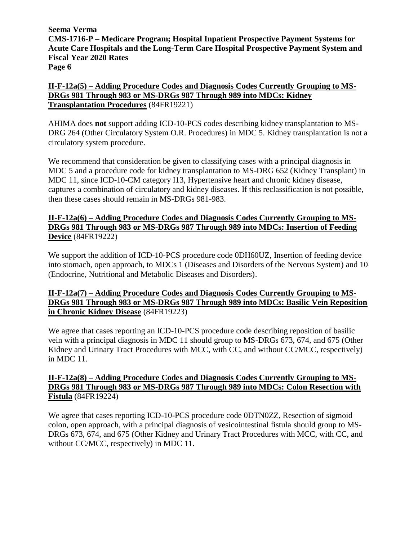**II-F-12a(5) – Adding Procedure Codes and Diagnosis Codes Currently Grouping to MS-DRGs 981 Through 983 or MS-DRGs 987 Through 989 into MDCs: Kidney Transplantation Procedures** (84FR19221)

AHIMA does **not** support adding ICD-10-PCS codes describing kidney transplantation to MS-DRG 264 (Other Circulatory System O.R. Procedures) in MDC 5. Kidney transplantation is not a circulatory system procedure.

We recommend that consideration be given to classifying cases with a principal diagnosis in MDC 5 and a procedure code for kidney transplantation to MS-DRG 652 (Kidney Transplant) in MDC 11, since ICD-10-CM category I13, Hypertensive heart and chronic kidney disease, captures a combination of circulatory and kidney diseases. If this reclassification is not possible, then these cases should remain in MS-DRGs 981-983.

# **II-F-12a(6) – Adding Procedure Codes and Diagnosis Codes Currently Grouping to MS-DRGs 981 Through 983 or MS-DRGs 987 Through 989 into MDCs: Insertion of Feeding Device** (84FR19222)

We support the addition of ICD-10-PCS procedure code 0DH60UZ, Insertion of feeding device into stomach, open approach, to MDCs 1 (Diseases and Disorders of the Nervous System) and 10 (Endocrine, Nutritional and Metabolic Diseases and Disorders).

# **II-F-12a(7) – Adding Procedure Codes and Diagnosis Codes Currently Grouping to MS-DRGs 981 Through 983 or MS-DRGs 987 Through 989 into MDCs: Basilic Vein Reposition in Chronic Kidney Disease** (84FR19223)

We agree that cases reporting an ICD-10-PCS procedure code describing reposition of basilic vein with a principal diagnosis in MDC 11 should group to MS-DRGs 673, 674, and 675 (Other Kidney and Urinary Tract Procedures with MCC, with CC, and without CC/MCC, respectively) in MDC 11.

# **II-F-12a(8) – Adding Procedure Codes and Diagnosis Codes Currently Grouping to MS-DRGs 981 Through 983 or MS-DRGs 987 Through 989 into MDCs: Colon Resection with Fistula** (84FR19224)

We agree that cases reporting ICD-10-PCS procedure code 0DTN0ZZ, Resection of sigmoid colon, open approach, with a principal diagnosis of vesicointestinal fistula should group to MS-DRGs 673, 674, and 675 (Other Kidney and Urinary Tract Procedures with MCC, with CC, and without CC/MCC, respectively) in MDC 11.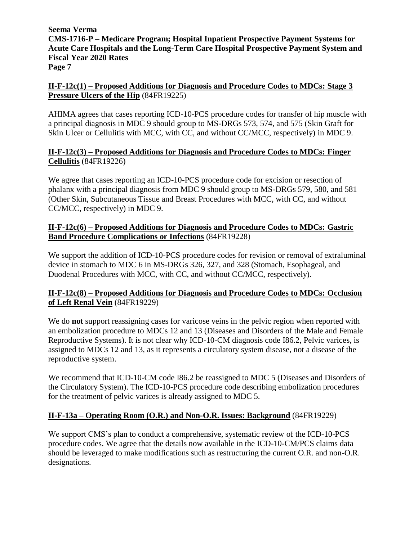# **II-F-12c(1) – Proposed Additions for Diagnosis and Procedure Codes to MDCs: Stage 3 Pressure Ulcers of the Hip** (84FR19225)

AHIMA agrees that cases reporting ICD-10-PCS procedure codes for transfer of hip muscle with a principal diagnosis in MDC 9 should group to MS-DRGs 573, 574, and 575 (Skin Graft for Skin Ulcer or Cellulitis with MCC, with CC, and without CC/MCC, respectively) in MDC 9.

# **II-F-12c(3) – Proposed Additions for Diagnosis and Procedure Codes to MDCs: Finger Cellulitis** (84FR19226)

We agree that cases reporting an ICD-10-PCS procedure code for excision or resection of phalanx with a principal diagnosis from MDC 9 should group to MS-DRGs 579, 580, and 581 (Other Skin, Subcutaneous Tissue and Breast Procedures with MCC, with CC, and without CC/MCC, respectively) in MDC 9.

# **II-F-12c(6) – Proposed Additions for Diagnosis and Procedure Codes to MDCs: Gastric Band Procedure Complications or Infections** (84FR19228)

We support the addition of ICD-10-PCS procedure codes for revision or removal of extraluminal device in stomach to MDC 6 in MS-DRGs 326, 327, and 328 (Stomach, Esophageal, and Duodenal Procedures with MCC, with CC, and without CC/MCC, respectively).

# **II-F-12c(8) – Proposed Additions for Diagnosis and Procedure Codes to MDCs: Occlusion of Left Renal Vein** (84FR19229)

We do **not** support reassigning cases for varicose veins in the pelvic region when reported with an embolization procedure to MDCs 12 and 13 (Diseases and Disorders of the Male and Female Reproductive Systems). It is not clear why ICD-10-CM diagnosis code I86.2, Pelvic varices, is assigned to MDCs 12 and 13, as it represents a circulatory system disease, not a disease of the reproductive system.

We recommend that ICD-10-CM code I86.2 be reassigned to MDC 5 (Diseases and Disorders of the Circulatory System). The ICD-10-PCS procedure code describing embolization procedures for the treatment of pelvic varices is already assigned to MDC 5.

# **II-F-13a – Operating Room (O.R.) and Non-O.R. Issues: Background** (84FR19229)

We support CMS's plan to conduct a comprehensive, systematic review of the ICD-10-PCS procedure codes. We agree that the details now available in the ICD-10-CM/PCS claims data should be leveraged to make modifications such as restructuring the current O.R. and non-O.R. designations.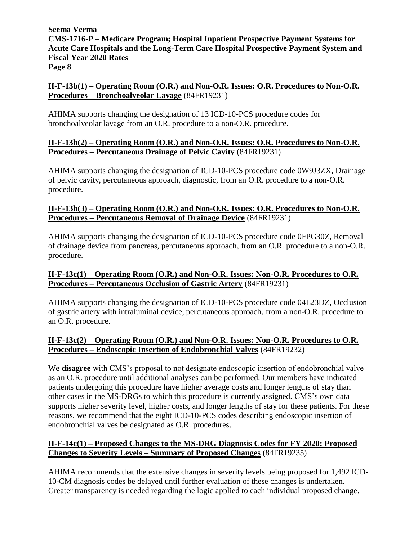# **II-F-13b(1) – Operating Room (O.R.) and Non-O.R. Issues: O.R. Procedures to Non-O.R. Procedures – Bronchoalveolar Lavage** (84FR19231)

AHIMA supports changing the designation of 13 ICD-10-PCS procedure codes for bronchoalveolar lavage from an O.R. procedure to a non-O.R. procedure.

# **II-F-13b(2) – Operating Room (O.R.) and Non-O.R. Issues: O.R. Procedures to Non-O.R. Procedures – Percutaneous Drainage of Pelvic Cavity** (84FR19231)

AHIMA supports changing the designation of ICD-10-PCS procedure code 0W9J3ZX, Drainage of pelvic cavity, percutaneous approach, diagnostic, from an O.R. procedure to a non-O.R. procedure.

# **II-F-13b(3) – Operating Room (O.R.) and Non-O.R. Issues: O.R. Procedures to Non-O.R. Procedures – Percutaneous Removal of Drainage Device** (84FR19231)

AHIMA supports changing the designation of ICD-10-PCS procedure code 0FPG30Z, Removal of drainage device from pancreas, percutaneous approach, from an O.R. procedure to a non-O.R. procedure.

# **II-F-13c(1) – Operating Room (O.R.) and Non-O.R. Issues: Non-O.R. Procedures to O.R. Procedures – Percutaneous Occlusion of Gastric Artery** (84FR19231)

AHIMA supports changing the designation of ICD-10-PCS procedure code 04L23DZ, Occlusion of gastric artery with intraluminal device, percutaneous approach, from a non-O.R. procedure to an O.R. procedure.

# **II-F-13c(2) – Operating Room (O.R.) and Non-O.R. Issues: Non-O.R. Procedures to O.R. Procedures – Endoscopic Insertion of Endobronchial Valves** (84FR19232)

We **disagree** with CMS's proposal to not designate endoscopic insertion of endobronchial valve as an O.R. procedure until additional analyses can be performed. Our members have indicated patients undergoing this procedure have higher average costs and longer lengths of stay than other cases in the MS-DRGs to which this procedure is currently assigned. CMS's own data supports higher severity level, higher costs, and longer lengths of stay for these patients. For these reasons, we recommend that the eight ICD-10-PCS codes describing endoscopic insertion of endobronchial valves be designated as O.R. procedures.

# **II-F-14c(1) – Proposed Changes to the MS-DRG Diagnosis Codes for FY 2020: Proposed Changes to Severity Levels – Summary of Proposed Changes** (84FR19235)

AHIMA recommends that the extensive changes in severity levels being proposed for 1,492 ICD-10-CM diagnosis codes be delayed until further evaluation of these changes is undertaken. Greater transparency is needed regarding the logic applied to each individual proposed change.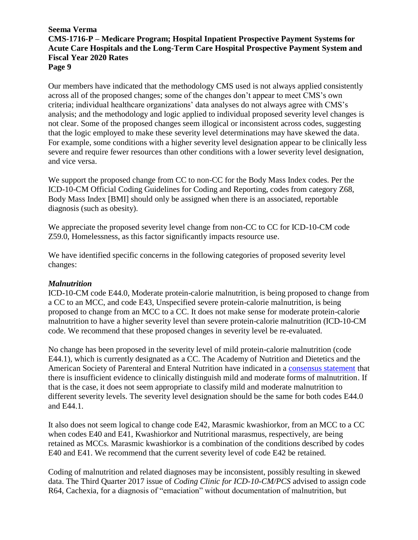Our members have indicated that the methodology CMS used is not always applied consistently across all of the proposed changes; some of the changes don't appear to meet CMS's own criteria; individual healthcare organizations' data analyses do not always agree with CMS's analysis; and the methodology and logic applied to individual proposed severity level changes is not clear. Some of the proposed changes seem illogical or inconsistent across codes, suggesting that the logic employed to make these severity level determinations may have skewed the data. For example, some conditions with a higher severity level designation appear to be clinically less severe and require fewer resources than other conditions with a lower severity level designation, and vice versa.

We support the proposed change from CC to non-CC for the Body Mass Index codes. Per the ICD-10-CM Official Coding Guidelines for Coding and Reporting, codes from category Z68, Body Mass Index [BMI] should only be assigned when there is an associated, reportable diagnosis (such as obesity).

We appreciate the proposed severity level change from non-CC to CC for ICD-10-CM code Z59.0, Homelessness, as this factor significantly impacts resource use.

We have identified specific concerns in the following categories of proposed severity level changes:

#### *Malnutrition*

ICD-10-CM code E44.0, Moderate protein-calorie malnutrition, is being proposed to change from a CC to an MCC, and code E43, Unspecified severe protein-calorie malnutrition, is being proposed to change from an MCC to a CC. It does not make sense for moderate protein-calorie malnutrition to have a higher severity level than severe protein-calorie malnutrition (ICD-10-CM code. We recommend that these proposed changes in severity level be re-evaluated.

No change has been proposed in the severity level of mild protein-calorie malnutrition (code E44.1), which is currently designated as a CC. The Academy of Nutrition and Dietetics and the American Society of Parenteral and Enteral Nutrition have indicated in a [consensus statement](https://onlinelibrary.wiley.com/doi/epdf/10.1177/0148607112440285) that there is insufficient evidence to clinically distinguish mild and moderate forms of malnutrition. If that is the case, it does not seem appropriate to classify mild and moderate malnutrition to different severity levels. The severity level designation should be the same for both codes E44.0 and E44.1.

It also does not seem logical to change code E42, Marasmic kwashiorkor, from an MCC to a CC when codes E40 and E41, Kwashiorkor and Nutritional marasmus, respectively, are being retained as MCCs. Marasmic kwashiorkor is a combination of the conditions described by codes E40 and E41. We recommend that the current severity level of code E42 be retained.

Coding of malnutrition and related diagnoses may be inconsistent, possibly resulting in skewed data. The Third Quarter 2017 issue of *Coding Clinic for ICD-10-CM/PCS* advised to assign code R64, Cachexia, for a diagnosis of "emaciation" without documentation of malnutrition, but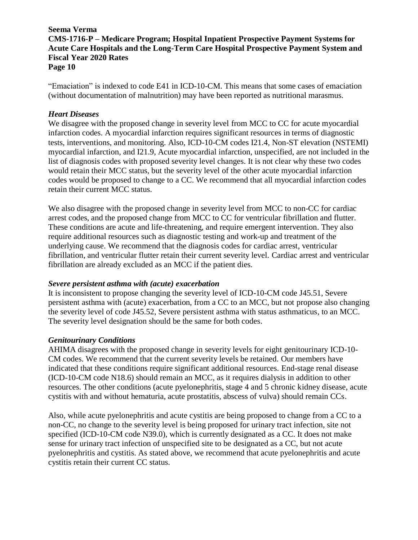"Emaciation" is indexed to code E41 in ICD-10-CM. This means that some cases of emaciation (without documentation of malnutrition) may have been reported as nutritional marasmus.

### *Heart Diseases*

We disagree with the proposed change in severity level from MCC to CC for acute myocardial infarction codes. A myocardial infarction requires significant resources in terms of diagnostic tests, interventions, and monitoring. Also, ICD-10-CM codes I21.4, Non-ST elevation (NSTEMI) myocardial infarction, and I21.9, Acute myocardial infarction, unspecified, are not included in the list of diagnosis codes with proposed severity level changes. It is not clear why these two codes would retain their MCC status, but the severity level of the other acute myocardial infarction codes would be proposed to change to a CC. We recommend that all myocardial infarction codes retain their current MCC status.

We also disagree with the proposed change in severity level from MCC to non-CC for cardiac arrest codes, and the proposed change from MCC to CC for ventricular fibrillation and flutter. These conditions are acute and life-threatening, and require emergent intervention. They also require additional resources such as diagnostic testing and work-up and treatment of the underlying cause. We recommend that the diagnosis codes for cardiac arrest, ventricular fibrillation, and ventricular flutter retain their current severity level. Cardiac arrest and ventricular fibrillation are already excluded as an MCC if the patient dies.

#### *Severe persistent asthma with (acute) exacerbation*

It is inconsistent to propose changing the severity level of ICD-10-CM code J45.51, Severe persistent asthma with (acute) exacerbation, from a CC to an MCC, but not propose also changing the severity level of code J45.52, Severe persistent asthma with status asthmaticus, to an MCC. The severity level designation should be the same for both codes.

# *Genitourinary Conditions*

AHIMA disagrees with the proposed change in severity levels for eight genitourinary ICD-10- CM codes. We recommend that the current severity levels be retained. Our members have indicated that these conditions require significant additional resources. End-stage renal disease (ICD-10-CM code N18.6) should remain an MCC, as it requires dialysis in addition to other resources. The other conditions (acute pyelonephritis, stage 4 and 5 chronic kidney disease, acute cystitis with and without hematuria, acute prostatitis, abscess of vulva) should remain CCs.

Also, while acute pyelonephritis and acute cystitis are being proposed to change from a CC to a non-CC, no change to the severity level is being proposed for urinary tract infection, site not specified (ICD-10-CM code N39.0), which is currently designated as a CC. It does not make sense for urinary tract infection of unspecified site to be designated as a CC, but not acute pyelonephritis and cystitis. As stated above, we recommend that acute pyelonephritis and acute cystitis retain their current CC status.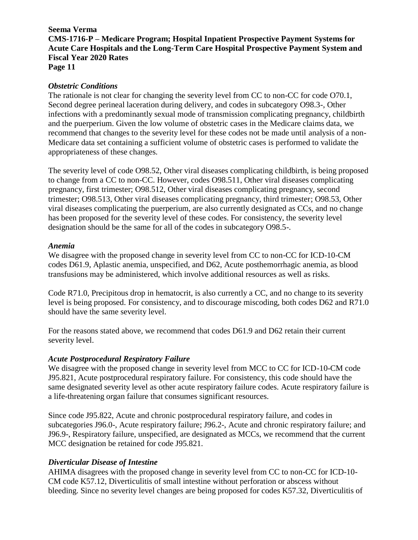### **Seema Verma**

**CMS-1716-P – Medicare Program; Hospital Inpatient Prospective Payment Systems for Acute Care Hospitals and the Long-Term Care Hospital Prospective Payment System and Fiscal Year 2020 Rates**

**Page 11**

### *Obstetric Conditions*

The rationale is not clear for changing the severity level from CC to non-CC for code O70.1, Second degree perineal laceration during delivery, and codes in subcategory O98.3-, Other infections with a predominantly sexual mode of transmission complicating pregnancy, childbirth and the puerperium. Given the low volume of obstetric cases in the Medicare claims data, we recommend that changes to the severity level for these codes not be made until analysis of a non-Medicare data set containing a sufficient volume of obstetric cases is performed to validate the appropriateness of these changes.

The severity level of code O98.52, Other viral diseases complicating childbirth, is being proposed to change from a CC to non-CC. However, codes O98.511, Other viral diseases complicating pregnancy, first trimester; O98.512, Other viral diseases complicating pregnancy, second trimester; O98.513, Other viral diseases complicating pregnancy, third trimester; O98.53, Other viral diseases complicating the puerperium, are also currently designated as CCs, and no change has been proposed for the severity level of these codes. For consistency, the severity level designation should be the same for all of the codes in subcategory O98.5-.

### *Anemia*

We disagree with the proposed change in severity level from CC to non-CC for ICD-10-CM codes D61.9, Aplastic anemia, unspecified, and D62, Acute posthemorrhagic anemia, as blood transfusions may be administered, which involve additional resources as well as risks.

Code R71.0, Precipitous drop in hematocrit, is also currently a CC, and no change to its severity level is being proposed. For consistency, and to discourage miscoding, both codes D62 and R71.0 should have the same severity level.

For the reasons stated above, we recommend that codes D61.9 and D62 retain their current severity level.

#### *Acute Postprocedural Respiratory Failure*

We disagree with the proposed change in severity level from MCC to CC for ICD-10-CM code J95.821, Acute postprocedural respiratory failure. For consistency, this code should have the same designated severity level as other acute respiratory failure codes. Acute respiratory failure is a life-threatening organ failure that consumes significant resources.

Since code J95.822, Acute and chronic postprocedural respiratory failure, and codes in subcategories J96.0-, Acute respiratory failure; J96.2-, Acute and chronic respiratory failure; and J96.9-, Respiratory failure, unspecified, are designated as MCCs, we recommend that the current MCC designation be retained for code J95.821.

# *Diverticular Disease of Intestine*

AHIMA disagrees with the proposed change in severity level from CC to non-CC for ICD-10- CM code K57.12, Diverticulitis of small intestine without perforation or abscess without bleeding. Since no severity level changes are being proposed for codes K57.32, Diverticulitis of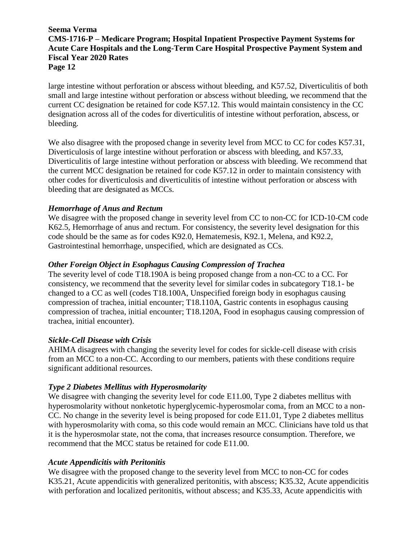large intestine without perforation or abscess without bleeding, and K57.52, Diverticulitis of both small and large intestine without perforation or abscess without bleeding, we recommend that the current CC designation be retained for code K57.12. This would maintain consistency in the CC designation across all of the codes for diverticulitis of intestine without perforation, abscess, or bleeding.

We also disagree with the proposed change in severity level from MCC to CC for codes K57.31, Diverticulosis of large intestine without perforation or abscess with bleeding, and K57.33, Diverticulitis of large intestine without perforation or abscess with bleeding. We recommend that the current MCC designation be retained for code K57.12 in order to maintain consistency with other codes for diverticulosis and diverticulitis of intestine without perforation or abscess with bleeding that are designated as MCCs.

# *Hemorrhage of Anus and Rectum*

We disagree with the proposed change in severity level from CC to non-CC for ICD-10-CM code K62.5, Hemorrhage of anus and rectum. For consistency, the severity level designation for this code should be the same as for codes K92.0, Hematemesis, K92.1, Melena, and K92.2, Gastrointestinal hemorrhage, unspecified, which are designated as CCs.

# *Other Foreign Object in Esophagus Causing Compression of Trachea*

The severity level of code T18.190A is being proposed change from a non-CC to a CC. For consistency, we recommend that the severity level for similar codes in subcategory T18.1- be changed to a CC as well (codes T18.100A, Unspecified foreign body in esophagus causing compression of trachea, initial encounter; T18.110A, Gastric contents in esophagus causing compression of trachea, initial encounter; T18.120A, Food in esophagus causing compression of trachea, initial encounter).

# *Sickle-Cell Disease with Crisis*

AHIMA disagrees with changing the severity level for codes for sickle-cell disease with crisis from an MCC to a non-CC. According to our members, patients with these conditions require significant additional resources.

# *Type 2 Diabetes Mellitus with Hyperosmolarity*

We disagree with changing the severity level for code E11.00, Type 2 diabetes mellitus with hyperosmolarity without nonketotic hyperglycemic-hyperosmolar coma, from an MCC to a non-CC. No change in the severity level is being proposed for code E11.01, Type 2 diabetes mellitus with hyperosmolarity with coma, so this code would remain an MCC. Clinicians have told us that it is the hyperosmolar state, not the coma, that increases resource consumption. Therefore, we recommend that the MCC status be retained for code E11.00.

# *Acute Appendicitis with Peritonitis*

We disagree with the proposed change to the severity level from MCC to non-CC for codes K35.21, Acute appendicitis with generalized peritonitis, with abscess; K35.32, Acute appendicitis with perforation and localized peritonitis, without abscess; and K35.33, Acute appendicitis with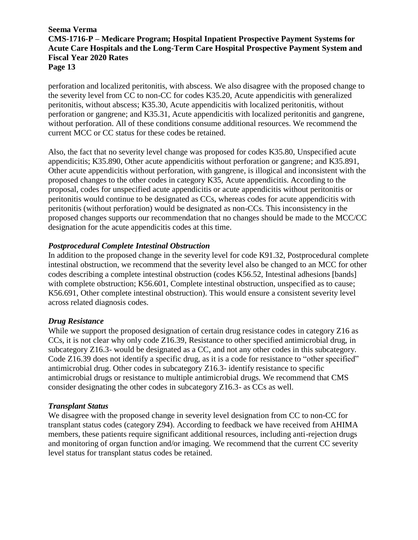perforation and localized peritonitis, with abscess. We also disagree with the proposed change to the severity level from CC to non-CC for codes K35.20, Acute appendicitis with generalized peritonitis, without abscess; K35.30, Acute appendicitis with localized peritonitis, without perforation or gangrene; and K35.31, Acute appendicitis with localized peritonitis and gangrene, without perforation. All of these conditions consume additional resources. We recommend the current MCC or CC status for these codes be retained.

Also, the fact that no severity level change was proposed for codes K35.80, Unspecified acute appendicitis; K35.890, Other acute appendicitis without perforation or gangrene; and K35.891, Other acute appendicitis without perforation, with gangrene, is illogical and inconsistent with the proposed changes to the other codes in category K35, Acute appendicitis. According to the proposal, codes for unspecified acute appendicitis or acute appendicitis without peritonitis or peritonitis would continue to be designated as CCs, whereas codes for acute appendicitis with peritonitis (without perforation) would be designated as non-CCs. This inconsistency in the proposed changes supports our recommendation that no changes should be made to the MCC/CC designation for the acute appendicitis codes at this time.

### *Postprocedural Complete Intestinal Obstruction*

In addition to the proposed change in the severity level for code K91.32, Postprocedural complete intestinal obstruction, we recommend that the severity level also be changed to an MCC for other codes describing a complete intestinal obstruction (codes K56.52, Intestinal adhesions [bands] with complete obstruction; K56.601, Complete intestinal obstruction, unspecified as to cause; K56.691, Other complete intestinal obstruction). This would ensure a consistent severity level across related diagnosis codes.

#### *Drug Resistance*

While we support the proposed designation of certain drug resistance codes in category Z16 as CCs, it is not clear why only code Z16.39, Resistance to other specified antimicrobial drug, in subcategory Z16.3- would be designated as a CC, and not any other codes in this subcategory. Code Z16.39 does not identify a specific drug, as it is a code for resistance to "other specified" antimicrobial drug. Other codes in subcategory Z16.3- identify resistance to specific antimicrobial drugs or resistance to multiple antimicrobial drugs. We recommend that CMS consider designating the other codes in subcategory Z16.3- as CCs as well.

#### *Transplant Status*

We disagree with the proposed change in severity level designation from CC to non-CC for transplant status codes (category Z94). According to feedback we have received from AHIMA members, these patients require significant additional resources, including anti-rejection drugs and monitoring of organ function and/or imaging. We recommend that the current CC severity level status for transplant status codes be retained.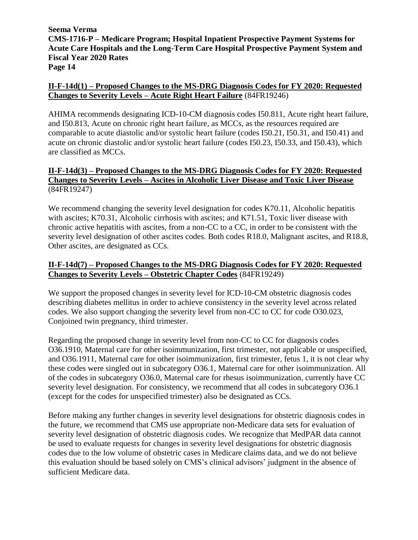# **II-F-14d(1) – Proposed Changes to the MS-DRG Diagnosis Codes for FY 2020: Requested Changes to Severity Levels – Acute Right Heart Failure** (84FR19246)

AHIMA recommends designating ICD-10-CM diagnosis codes I50.811, Acute right heart failure, and I50.813, Acute on chronic right heart failure, as MCCs, as the resources required are comparable to acute diastolic and/or systolic heart failure (codes I50.21, I50.31, and I50.41) and acute on chronic diastolic and/or systolic heart failure (codes I50.23, I50.33, and I50.43), which are classified as MCCs.

# **II-F-14d(3) – Proposed Changes to the MS-DRG Diagnosis Codes for FY 2020: Requested Changes to Severity Levels – Ascites in Alcoholic Liver Disease and Toxic Liver Disease** (84FR19247)

We recommend changing the severity level designation for codes K70.11, Alcoholic hepatitis with ascites; K70.31, Alcoholic cirrhosis with ascites; and K71.51, Toxic liver disease with chronic active hepatitis with ascites, from a non-CC to a CC, in order to be consistent with the severity level designation of other ascites codes. Both codes R18.0, Malignant ascites, and R18.8, Other ascites, are designated as CCs.

# **II-F-14d(7) – Proposed Changes to the MS-DRG Diagnosis Codes for FY 2020: Requested Changes to Severity Levels – Obstetric Chapter Codes** (84FR19249)

We support the proposed changes in severity level for ICD-10-CM obstetric diagnosis codes describing diabetes mellitus in order to achieve consistency in the severity level across related codes. We also support changing the severity level from non-CC to CC for code O30.023, Conjoined twin pregnancy, third trimester.

Regarding the proposed change in severity level from non-CC to CC for diagnosis codes O36.1910, Maternal care for other isoimmunization, first trimester, not applicable or unspecified, and O36.1911, Maternal care for other isoimmunization, first trimester, fetus 1, it is not clear why these codes were singled out in subcategory O36.1, Maternal care for other isoimmunization. All of the codes in subcategory O36.0, Maternal care for rhesus isoimmunization, currently have CC severity level designation. For consistency, we recommend that all codes in subcategory O36.1 (except for the codes for unspecified trimester) also be designated as CCs.

Before making any further changes in severity level designations for obstetric diagnosis codes in the future, we recommend that CMS use appropriate non-Medicare data sets for evaluation of severity level designation of obstetric diagnosis codes. We recognize that MedPAR data cannot be used to evaluate requests for changes in severity level designations for obstetric diagnosis codes due to the low volume of obstetric cases in Medicare claims data, and we do not believe this evaluation should be based solely on CMS's clinical advisors' judgment in the absence of sufficient Medicare data.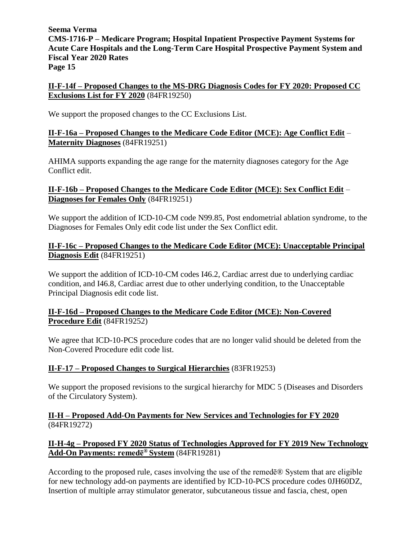# **II-F-14f – Proposed Changes to the MS-DRG Diagnosis Codes for FY 2020: Proposed CC Exclusions List for FY 2020** (84FR19250)

We support the proposed changes to the CC Exclusions List.

# **II-F-16a – Proposed Changes to the Medicare Code Editor (MCE): Age Conflict Edit** – **Maternity Diagnoses** (84FR19251)

AHIMA supports expanding the age range for the maternity diagnoses category for the Age Conflict edit.

# **II-F-16b – Proposed Changes to the Medicare Code Editor (MCE): Sex Conflict Edit** – **Diagnoses for Females Only** (84FR19251)

We support the addition of ICD-10-CM code N99.85, Post endometrial ablation syndrome, to the Diagnoses for Females Only edit code list under the Sex Conflict edit.

# **II-F-16c – Proposed Changes to the Medicare Code Editor (MCE): Unacceptable Principal Diagnosis Edit** (84FR19251)

We support the addition of ICD-10-CM codes I46.2, Cardiac arrest due to underlying cardiac condition, and I46.8, Cardiac arrest due to other underlying condition, to the Unacceptable Principal Diagnosis edit code list.

# **II-F-16d – Proposed Changes to the Medicare Code Editor (MCE): Non-Covered Procedure Edit** (84FR19252)

We agree that ICD-10-PCS procedure codes that are no longer valid should be deleted from the Non-Covered Procedure edit code list.

# **II-F-17 – Proposed Changes to Surgical Hierarchies** (83FR19253)

We support the proposed revisions to the surgical hierarchy for MDC 5 (Diseases and Disorders of the Circulatory System).

# **II-H – Proposed Add-On Payments for New Services and Technologies for FY 2020**  (84FR19272)

# **II-H-4g – Proposed FY 2020 Status of Technologies Approved for FY 2019 New Technology Add-On Payments: remedē® System** (84FR19281)

According to the proposed rule, cases involving the use of the remedē® System that are eligible for new technology add-on payments are identified by ICD-10-PCS procedure codes 0JH60DZ, Insertion of multiple array stimulator generator, subcutaneous tissue and fascia, chest, open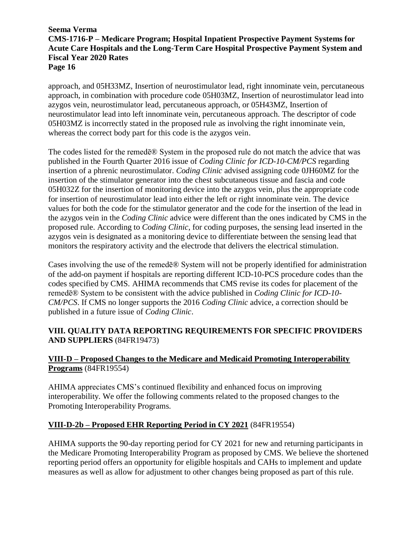approach, and 05H33MZ, Insertion of neurostimulator lead, right innominate vein, percutaneous approach, in combination with procedure code 05H03MZ, Insertion of neurostimulator lead into azygos vein, neurostimulator lead, percutaneous approach, or 05H43MZ, Insertion of neurostimulator lead into left innominate vein, percutaneous approach. The descriptor of code 05H03MZ is incorrectly stated in the proposed rule as involving the right innominate vein, whereas the correct body part for this code is the azygos vein.

The codes listed for the remedē® System in the proposed rule do not match the advice that was published in the Fourth Quarter 2016 issue of *Coding Clinic for ICD-10-CM/PCS* regarding insertion of a phrenic neurostimulator. *Coding Clinic* advised assigning code 0JH60MZ for the insertion of the stimulator generator into the chest subcutaneous tissue and fascia and code 05H032Z for the insertion of monitoring device into the azygos vein, plus the appropriate code for insertion of neurostimulator lead into either the left or right innominate vein. The device values for both the code for the stimulator generator and the code for the insertion of the lead in the azygos vein in the *Coding Clinic* advice were different than the ones indicated by CMS in the proposed rule. According to *Coding Clinic*, for coding purposes, the sensing lead inserted in the azygos vein is designated as a monitoring device to differentiate between the sensing lead that monitors the respiratory activity and the electrode that delivers the electrical stimulation.

Cases involving the use of the remedē® System will not be properly identified for administration of the add-on payment if hospitals are reporting different ICD-10-PCS procedure codes than the codes specified by CMS. AHIMA recommends that CMS revise its codes for placement of the remedē® System to be consistent with the advice published in *Coding Clinic for ICD-10- CM/PCS*. If CMS no longer supports the 2016 *Coding Clinic* advice, a correction should be published in a future issue of *Coding Clinic*.

# **VIII. QUALITY DATA REPORTING REQUIREMENTS FOR SPECIFIC PROVIDERS AND SUPPLIERS** (84FR19473)

# **VIII-D – Proposed Changes to the Medicare and Medicaid Promoting Interoperability Programs** (84FR19554)

AHIMA appreciates CMS's continued flexibility and enhanced focus on improving interoperability. We offer the following comments related to the proposed changes to the Promoting Interoperability Programs.

# **VIII-D-2b – Proposed EHR Reporting Period in CY 2021** (84FR19554)

AHIMA supports the 90-day reporting period for CY 2021 for new and returning participants in the Medicare Promoting Interoperability Program as proposed by CMS. We believe the shortened reporting period offers an opportunity for eligible hospitals and CAHs to implement and update measures as well as allow for adjustment to other changes being proposed as part of this rule.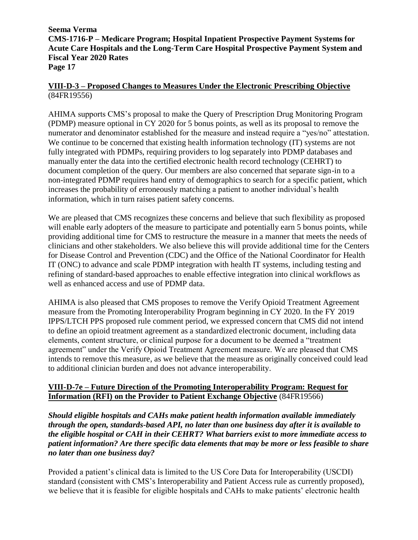# **VIII-D-3 – Proposed Changes to Measures Under the Electronic Prescribing Objective** (84FR19556)

AHIMA supports CMS's proposal to make the Query of Prescription Drug Monitoring Program (PDMP) measure optional in CY 2020 for 5 bonus points, as well as its proposal to remove the numerator and denominator established for the measure and instead require a "yes/no" attestation. We continue to be concerned that existing health information technology (IT) systems are not fully integrated with PDMPs, requiring providers to log separately into PDMP databases and manually enter the data into the certified electronic health record technology (CEHRT) to document completion of the query. Our members are also concerned that separate sign-in to a non-integrated PDMP requires hand entry of demographics to search for a specific patient, which increases the probability of erroneously matching a patient to another individual's health information, which in turn raises patient safety concerns.

We are pleased that CMS recognizes these concerns and believe that such flexibility as proposed will enable early adopters of the measure to participate and potentially earn 5 bonus points, while providing additional time for CMS to restructure the measure in a manner that meets the needs of clinicians and other stakeholders. We also believe this will provide additional time for the Centers for Disease Control and Prevention (CDC) and the Office of the National Coordinator for Health IT (ONC) to advance and scale PDMP integration with health IT systems, including testing and refining of standard-based approaches to enable effective integration into clinical workflows as well as enhanced access and use of PDMP data.

AHIMA is also pleased that CMS proposes to remove the Verify Opioid Treatment Agreement measure from the Promoting Interoperability Program beginning in CY 2020. In the FY 2019 IPPS/LTCH PPS proposed rule comment period, we expressed concern that CMS did not intend to define an opioid treatment agreement as a standardized electronic document, including data elements, content structure, or clinical purpose for a document to be deemed a "treatment agreement" under the Verify Opioid Treatment Agreement measure. We are pleased that CMS intends to remove this measure, as we believe that the measure as originally conceived could lead to additional clinician burden and does not advance interoperability.

# **VIII-D-7e – Future Direction of the Promoting Interoperability Program: Request for Information (RFI) on the Provider to Patient Exchange Objective** (84FR19566)

*Should eligible hospitals and CAHs make patient health information available immediately through the open, standards-based API, no later than one business day after it is available to the eligible hospital or CAH in their CEHRT? What barriers exist to more immediate access to patient information? Are there specific data elements that may be more or less feasible to share no later than one business day?*

Provided a patient's clinical data is limited to the US Core Data for Interoperability (USCDI) standard (consistent with CMS's Interoperability and Patient Access rule as currently proposed), we believe that it is feasible for eligible hospitals and CAHs to make patients' electronic health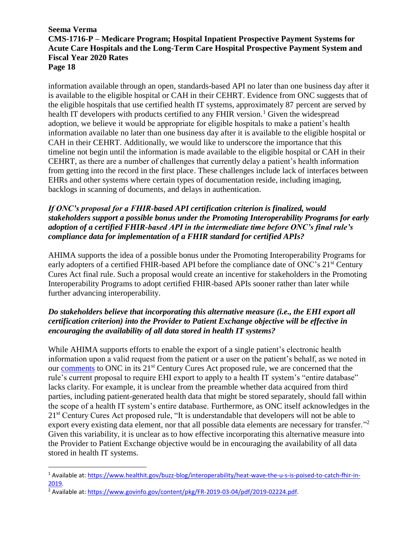information available through an open, standards-based API no later than one business day after it is available to the eligible hospital or CAH in their CEHRT. Evidence from ONC suggests that of the eligible hospitals that use certified health IT systems, approximately 87 percent are served by health IT developers with products certified to any FHIR version.<sup>1</sup> Given the widespread adoption, we believe it would be appropriate for eligible hospitals to make a patient's health information available no later than one business day after it is available to the eligible hospital or CAH in their CEHRT. Additionally, we would like to underscore the importance that this timeline not begin until the information is made available to the eligible hospital or CAH in their CEHRT, as there are a number of challenges that currently delay a patient's health information from getting into the record in the first place. These challenges include lack of interfaces between EHRs and other systems where certain types of documentation reside, including imaging, backlogs in scanning of documents, and delays in authentication.

# *If ONC's proposal for a FHIR-based API certification criterion is finalized, would stakeholders support a possible bonus under the Promoting Interoperability Programs for early adoption of a certified FHIR-based API in the intermediate time before ONC's final rule's compliance data for implementation of a FHIR standard for certified APIs?*

AHIMA supports the idea of a possible bonus under the Promoting Interoperability Programs for early adopters of a certified FHIR-based API before the compliance date of ONC's 21<sup>st</sup> Century Cures Act final rule. Such a proposal would create an incentive for stakeholders in the Promoting Interoperability Programs to adopt certified FHIR-based APIs sooner rather than later while further advancing interoperability.

# *Do stakeholders believe that incorporating this alternative measure (i.e., the EHI export all certification criterion) into the Provider to Patient Exchange objective will be effective in encouraging the availability of all data stored in health IT systems?*

While AHIMA supports efforts to enable the export of a single patient's electronic health information upon a valid request from the patient or a user on the patient's behalf, as we noted in our [comments](http://bok.ahima.org/PdfView?oid=302761) to ONC in its 21st Century Cures Act proposed rule, we are concerned that the rule's current proposal to require EHI export to apply to a health IT system's "entire database" lacks clarity. For example, it is unclear from the preamble whether data acquired from third parties, including patient-generated health data that might be stored separately, should fall within the scope of a health IT system's entire database. Furthermore, as ONC itself acknowledges in the 21<sup>st</sup> Century Cures Act proposed rule, "It is understandable that developers will not be able to export every existing data element, nor that all possible data elements are necessary for transfer."<sup>2</sup> Given this variability, it is unclear as to how effective incorporating this alternative measure into the Provider to Patient Exchange objective would be in encouraging the availability of all data stored in health IT systems.

 $\overline{a}$ 

<sup>1</sup> Available at[: https://www.healthit.gov/buzz-blog/interoperability/heat-wave-the-u-s-is-poised-to-catch-fhir-in-](https://www.healthit.gov/buzz-blog/interoperability/heat-wave-the-u-s-is-poised-to-catch-fhir-in-2019)[2019.](https://www.healthit.gov/buzz-blog/interoperability/heat-wave-the-u-s-is-poised-to-catch-fhir-in-2019)

<sup>2</sup> Available at[: https://www.govinfo.gov/content/pkg/FR-2019-03-04/pdf/2019-02224.pdf.](https://www.govinfo.gov/content/pkg/FR-2019-03-04/pdf/2019-02224.pdf)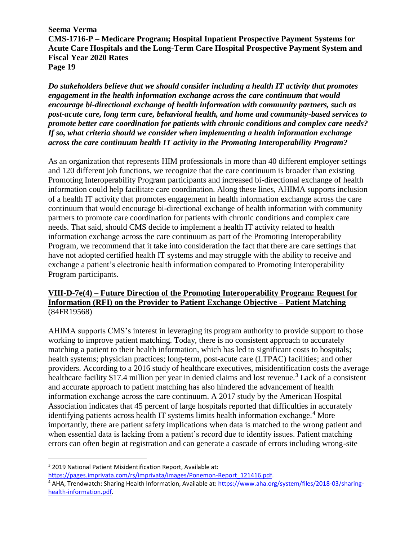*Do stakeholders believe that we should consider including a health IT activity that promotes engagement in the health information exchange across the care continuum that would encourage bi-directional exchange of health information with community partners, such as post-acute care, long term care, behavioral health, and home and community-based services to promote better care coordination for patients with chronic conditions and complex care needs? If so, what criteria should we consider when implementing a health information exchange across the care continuum health IT activity in the Promoting Interoperability Program?*

As an organization that represents HIM professionals in more than 40 different employer settings and 120 different job functions, we recognize that the care continuum is broader than existing Promoting Interoperability Program participants and increased bi-directional exchange of health information could help facilitate care coordination. Along these lines, AHIMA supports inclusion of a health IT activity that promotes engagement in health information exchange across the care continuum that would encourage bi-directional exchange of health information with community partners to promote care coordination for patients with chronic conditions and complex care needs. That said, should CMS decide to implement a health IT activity related to health information exchange across the care continuum as part of the Promoting Interoperability Program, we recommend that it take into consideration the fact that there are care settings that have not adopted certified health IT systems and may struggle with the ability to receive and exchange a patient's electronic health information compared to Promoting Interoperability Program participants.

# **VIII-D-7e(4) – Future Direction of the Promoting Interoperability Program: Request for Information (RFI) on the Provider to Patient Exchange Objective – Patient Matching** (84FR19568)

AHIMA supports CMS's interest in leveraging its program authority to provide support to those working to improve patient matching. Today, there is no consistent approach to accurately matching a patient to their health information, which has led to significant costs to hospitals; health systems; physician practices; long-term, post-acute care (LTPAC) facilities; and other providers. According to a 2016 study of healthcare executives, misidentification costs the average healthcare facility \$17.4 million per year in denied claims and lost revenue.<sup>3</sup> Lack of a consistent and accurate approach to patient matching has also hindered the advancement of health information exchange across the care continuum. A 2017 study by the American Hospital Association indicates that 45 percent of large hospitals reported that difficulties in accurately identifying patients across health IT systems limits health information exchange.<sup>4</sup> More importantly, there are patient safety implications when data is matched to the wrong patient and when essential data is lacking from a patient's record due to identity issues. Patient matching errors can often begin at registration and can generate a cascade of errors including wrong-site

 $\overline{a}$ 

[https://pages.imprivata.com/rs/imprivata/images/Ponemon-Report\\_121416.pdf.](https://pages.imprivata.com/rs/imprivata/images/Ponemon-Report_121416.pdf)

<sup>3</sup> 2019 National Patient Misidentification Report, Available at:

<sup>4</sup> AHA, Trendwatch: Sharing Health Information, Available at[: https://www.aha.org/system/files/2018-03/sharing](https://www.aha.org/system/files/2018-03/sharing-health-information.pdf)[health-information.pdf.](https://www.aha.org/system/files/2018-03/sharing-health-information.pdf)